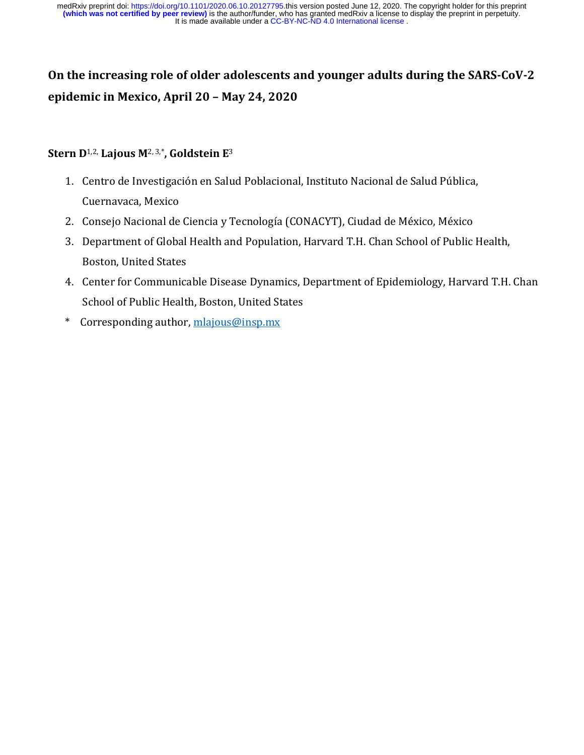# **On the increasing role of older adolescents and younger adults during the SARS-CoV-2 epidemic in Mexico, April 20 – May 24, 2020**

### **Stern D**1,2, **Lajous M**2, 3,\* **, Goldstein E**<sup>3</sup>

- 1. Centro de Investigación en Salud Poblacional, Instituto Nacional de Salud Pública, Cuernavaca, Mexico
- 2. Consejo Nacional de Ciencia y Tecnología (CONACYT), Ciudad de México, México
- 3. Department of Global Health and Population, Harvard T.H. Chan School of Public Health, Boston, United States
- 4. Center for Communicable Disease Dynamics, Department of Epidemiology, Harvard T.H. Chan School of Public Health, Boston, United States
- \* Corresponding author, [mlajous@insp.mx](mailto:dalia.stern@insp.mx)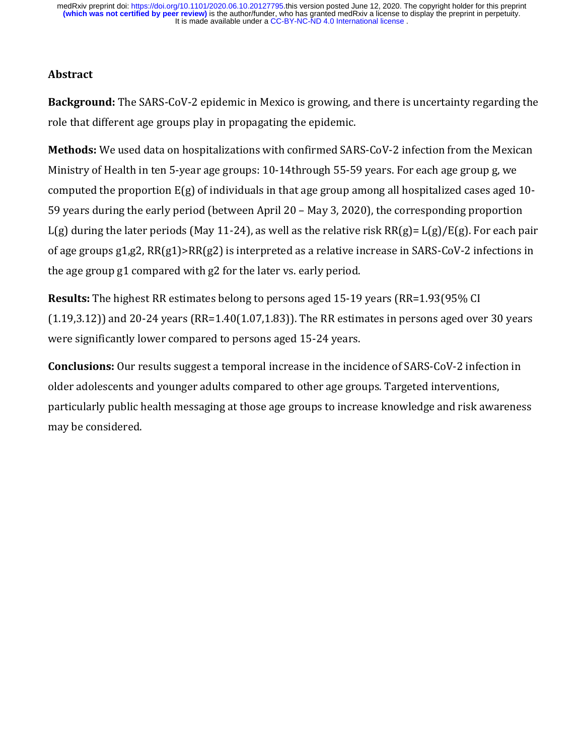# **Abstract**

**Background:** The SARS-CoV-2 epidemic in Mexico is growing, and there is uncertainty regarding the role that different age groups play in propagating the epidemic.

**Methods:** We used data on hospitalizations with confirmed SARS-CoV-2 infection from the Mexican Ministry of Health in ten 5-year age groups: 10-14through 55-59 years. For each age group g, we computed the proportion E(g) of individuals in that age group among all hospitalized cases aged 10- 59 years during the early period (between April 20 – May 3, 2020), the corresponding proportion  $L(g)$  during the later periods (May 11-24), as well as the relative risk RR(g)=  $L(g)/E(g)$ . For each pair of age groups g1,g2,  $RR(g1) > RR(g2)$  is interpreted as a relative increase in SARS-CoV-2 infections in the age group g1 compared with g2 for the later vs. early period.

**Results:** The highest RR estimates belong to persons aged 15-19 years (RR=1.93(95% CI  $(1.19,3.12)$  and 20-24 years  $(RR=1.40(1.07,1.83))$ . The RR estimates in persons aged over 30 years were significantly lower compared to persons aged 15-24 years.

**Conclusions:** Our results suggest a temporal increase in the incidence of SARS-CoV-2 infection in older adolescents and younger adults compared to other age groups. Targeted interventions, particularly public health messaging at those age groups to increase knowledge and risk awareness may be considered.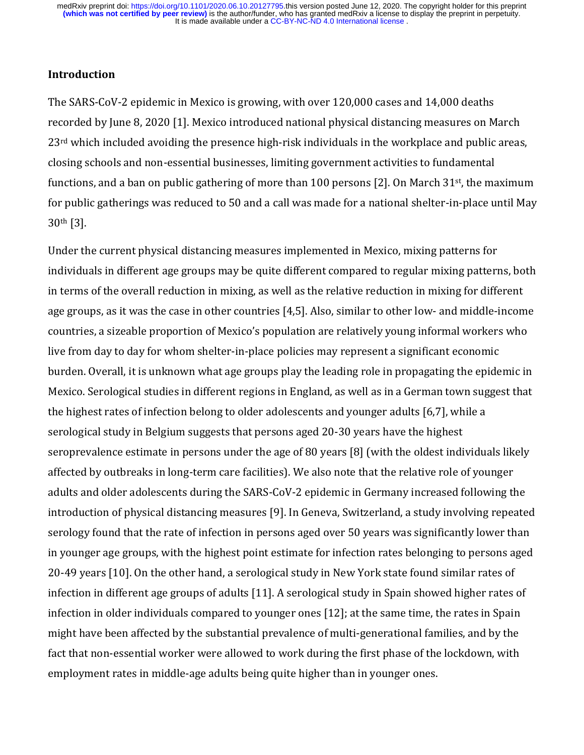#### **Introduction**

The SARS-CoV-2 epidemic in Mexico is growing, with over 120,000 cases and 14,000 deaths recorded by June 8, 2020 [1]. Mexico introduced national physical distancing measures on March 23rd which included avoiding the presence high-risk individuals in the workplace and public areas, closing schools and non-essential businesses, limiting government activities to fundamental functions, and a ban on public gathering of more than 100 persons [2]. On March 31<sup>st</sup>, the maximum for public gatherings was reduced to 50 and a call was made for a national shelter-in-place until May 30th [3].

Under the current physical distancing measures implemented in Mexico, mixing patterns for individuals in different age groups may be quite different compared to regular mixing patterns, both in terms of the overall reduction in mixing, as well as the relative reduction in mixing for different age groups, as it was the case in other countries [4,5]. Also, similar to other low- and middle-income countries, a sizeable proportion of Mexico's population are relatively young informal workers who live from day to day for whom shelter-in-place policies may represent a significant economic burden. Overall, it is unknown what age groups play the leading role in propagating the epidemic in Mexico. Serological studies in different regions in England, as well as in a German town suggest that the highest rates of infection belong to older adolescents and younger adults [6,7], while a serological study in Belgium suggests that persons aged 20-30 years have the highest seroprevalence estimate in persons under the age of 80 years [8] (with the oldest individuals likely affected by outbreaks in long-term care facilities). We also note that the relative role of younger adults and older adolescents during the SARS-CoV-2 epidemic in Germany increased following the introduction of physical distancing measures [9]. In Geneva, Switzerland, a study involving repeated serology found that the rate of infection in persons aged over 50 years was significantly lower than in younger age groups, with the highest point estimate for infection rates belonging to persons aged 20-49 years [10]. On the other hand, a serological study in New York state found similar rates of infection in different age groups of adults [11]. A serological study in Spain showed higher rates of infection in older individuals compared to younger ones [12]; at the same time, the rates in Spain might have been affected by the substantial prevalence of multi-generational families, and by the fact that non-essential worker were allowed to work during the first phase of the lockdown, with employment rates in middle-age adults being quite higher than in younger ones.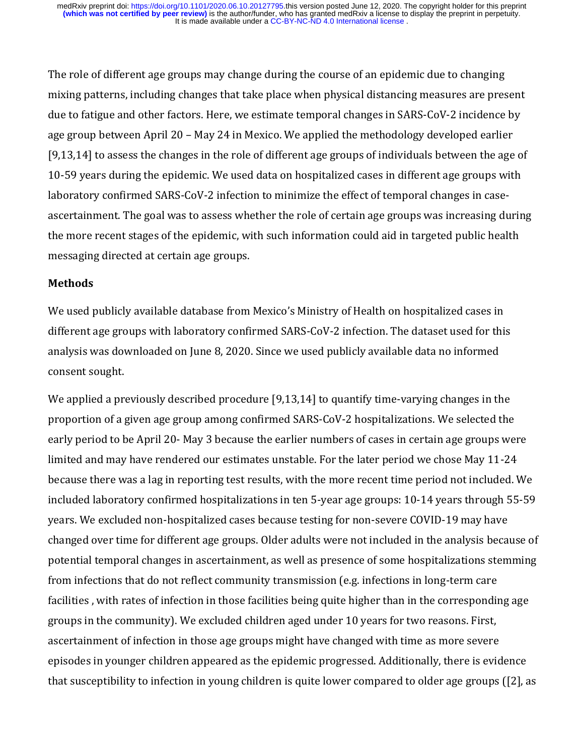The role of different age groups may change during the course of an epidemic due to changing mixing patterns, including changes that take place when physical distancing measures are present due to fatigue and other factors. Here, we estimate temporal changes in SARS-CoV-2 incidence by age group between April 20 – May 24 in Mexico. We applied the methodology developed earlier [9,13,14] to assess the changes in the role of different age groups of individuals between the age of 10-59 years during the epidemic. We used data on hospitalized cases in different age groups with laboratory confirmed SARS-CoV-2 infection to minimize the effect of temporal changes in caseascertainment. The goal was to assess whether the role of certain age groups was increasing during the more recent stages of the epidemic, with such information could aid in targeted public health messaging directed at certain age groups.

#### **Methods**

We used publicly available database from Mexico's Ministry of Health on hospitalized cases in different age groups with laboratory confirmed SARS-CoV-2 infection. The dataset used for this analysis was downloaded on June 8, 2020. Since we used publicly available data no informed consent sought.

We applied a previously described procedure [9,13,14] to quantify time-varying changes in the proportion of a given age group among confirmed SARS-CoV-2 hospitalizations. We selected the early period to be April 20- May 3 because the earlier numbers of cases in certain age groups were limited and may have rendered our estimates unstable. For the later period we chose May 11-24 because there was a lag in reporting test results, with the more recent time period not included. We included laboratory confirmed hospitalizations in ten 5-year age groups: 10-14 years through 55-59 years. We excluded non-hospitalized cases because testing for non-severe COVID-19 may have changed over time for different age groups. Older adults were not included in the analysis because of potential temporal changes in ascertainment, as well as presence of some hospitalizations stemming from infections that do not reflect community transmission (e.g. infections in long-term care facilities , with rates of infection in those facilities being quite higher than in the corresponding age groups in the community). We excluded children aged under 10 years for two reasons. First, ascertainment of infection in those age groups might have changed with time as more severe episodes in younger children appeared as the epidemic progressed. Additionally, there is evidence that susceptibility to infection in young children is quite lower compared to older age groups ([2], as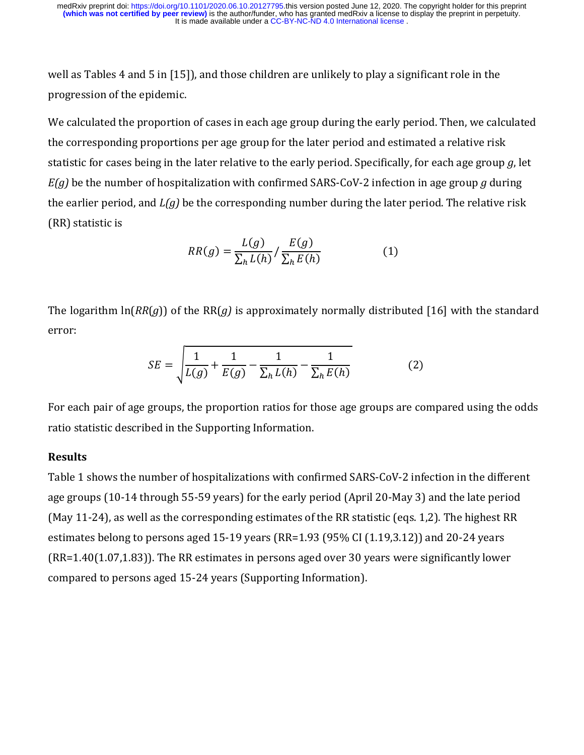well as Tables 4 and 5 in [15]), and those children are unlikely to play a significant role in the progression of the epidemic.

We calculated the proportion of cases in each age group during the early period. Then, we calculated the corresponding proportions per age group for the later period and estimated a relative risk statistic for cases being in the later relative to the early period. Specifically, for each age group *g*, let *E(g)* be the number of hospitalization with confirmed SARS-CoV-2 infection in age group *g* during the earlier period, and *L(g)* be the corresponding number during the later period. The relative risk (RR) statistic is

$$
RR(g) = \frac{L(g)}{\sum_{h} L(h)} / \frac{E(g)}{\sum_{h} E(h)}
$$
(1)

The logarithm ln(*RR*(*g*)) of the RR(*g)* is approximately normally distributed [16] with the standard error:

$$
SE = \sqrt{\frac{1}{L(g)} + \frac{1}{E(g)} - \frac{1}{\sum_{h} L(h)} - \frac{1}{\sum_{h} E(h)}}\tag{2}
$$

For each pair of age groups, the proportion ratios for those age groups are compared using the odds ratio statistic described in the Supporting Information.

#### **Results**

Table 1 shows the number of hospitalizations with confirmed SARS-CoV-2 infection in the different age groups (10-14 through 55-59 years) for the early period (April 20-May 3) and the late period (May 11-24), as well as the corresponding estimates of the RR statistic (eqs. 1,2). The highest RR estimates belong to persons aged 15-19 years (RR=1.93 (95% CI (1.19,3.12)) and 20-24 years (RR=1.40(1.07,1.83)). The RR estimates in persons aged over 30 years were significantly lower compared to persons aged 15-24 years (Supporting Information).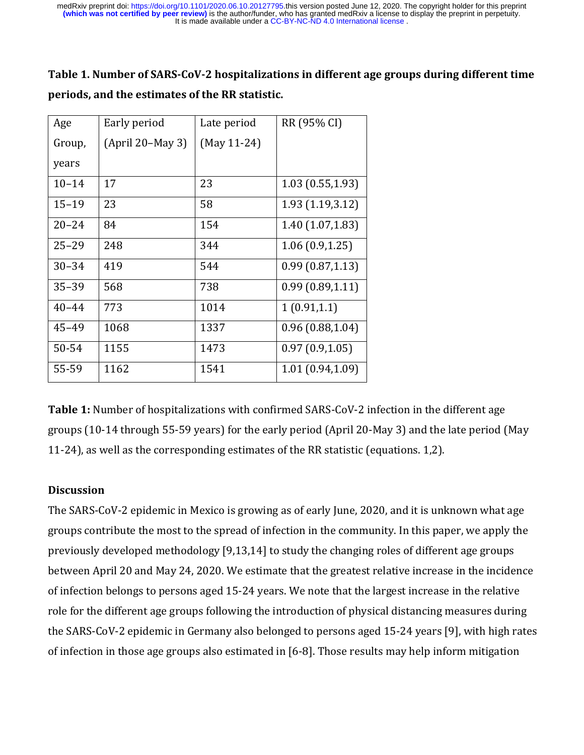# **Table 1. Number of SARS-CoV-2 hospitalizations in different age groups during different time periods, and the estimates of the RR statistic.**

| Age       | Early period       | Late period   | RR (95% CI)      |
|-----------|--------------------|---------------|------------------|
| Group,    | $(April 20-May 3)$ | $(May 11-24)$ |                  |
| years     |                    |               |                  |
| $10 - 14$ | 17                 | 23            | 1.03(0.55, 1.93) |
| $15 - 19$ | 23                 | 58            | 1.93(1.19,3.12)  |
| $20 - 24$ | 84                 | 154           | 1.40(1.07, 1.83) |
| $25 - 29$ | 248                | 344           | 1.06(0.9, 1.25)  |
| $30 - 34$ | 419                | 544           | 0.99(0.87, 1.13) |
| $35 - 39$ | 568                | 738           | 0.99(0.89, 1.11) |
| $40 - 44$ | 773                | 1014          | 1(0.91, 1.1)     |
| $45 - 49$ | 1068               | 1337          | 0.96(0.88, 1.04) |
| 50-54     | 1155               | 1473          | 0.97(0.9, 1.05)  |
| 55-59     | 1162               | 1541          | 1.01(0.94, 1.09) |

**Table 1:** Number of hospitalizations with confirmed SARS-CoV-2 infection in the different age groups (10-14 through 55-59 years) for the early period (April 20-May 3) and the late period (May 11-24), as well as the corresponding estimates of the RR statistic (equations. 1,2).

#### **Discussion**

The SARS-CoV-2 epidemic in Mexico is growing as of early June, 2020, and it is unknown what age groups contribute the most to the spread of infection in the community. In this paper, we apply the previously developed methodology [9,13,14] to study the changing roles of different age groups between April 20 and May 24, 2020. We estimate that the greatest relative increase in the incidence of infection belongs to persons aged 15-24 years. We note that the largest increase in the relative role for the different age groups following the introduction of physical distancing measures during the SARS-CoV-2 epidemic in Germany also belonged to persons aged 15-24 years [9], with high rates of infection in those age groups also estimated in [6-8]. Those results may help inform mitigation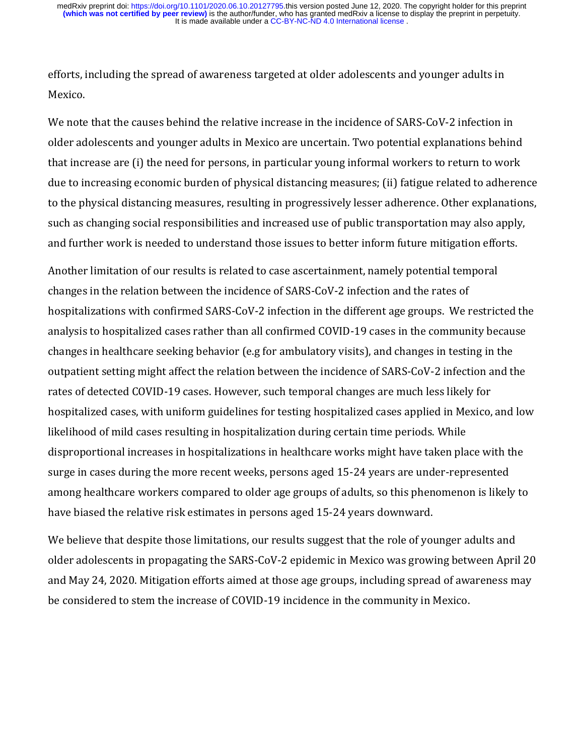efforts, including the spread of awareness targeted at older adolescents and younger adults in Mexico.

We note that the causes behind the relative increase in the incidence of SARS-CoV-2 infection in older adolescents and younger adults in Mexico are uncertain. Two potential explanations behind that increase are (i) the need for persons, in particular young informal workers to return to work due to increasing economic burden of physical distancing measures; (ii) fatigue related to adherence to the physical distancing measures, resulting in progressively lesser adherence. Other explanations, such as changing social responsibilities and increased use of public transportation may also apply, and further work is needed to understand those issues to better inform future mitigation efforts.

Another limitation of our results is related to case ascertainment, namely potential temporal changes in the relation between the incidence of SARS-CoV-2 infection and the rates of hospitalizations with confirmed SARS-CoV-2 infection in the different age groups. We restricted the analysis to hospitalized cases rather than all confirmed COVID-19 cases in the community because changes in healthcare seeking behavior (e.g for ambulatory visits), and changes in testing in the outpatient setting might affect the relation between the incidence of SARS-CoV-2 infection and the rates of detected COVID-19 cases. However, such temporal changes are much less likely for hospitalized cases, with uniform guidelines for testing hospitalized cases applied in Mexico, and low likelihood of mild cases resulting in hospitalization during certain time periods. While disproportional increases in hospitalizations in healthcare works might have taken place with the surge in cases during the more recent weeks, persons aged 15-24 years are under-represented among healthcare workers compared to older age groups of adults, so this phenomenon is likely to have biased the relative risk estimates in persons aged 15-24 years downward.

We believe that despite those limitations, our results suggest that the role of younger adults and older adolescents in propagating the SARS-CoV-2 epidemic in Mexico was growing between April 20 and May 24, 2020. Mitigation efforts aimed at those age groups, including spread of awareness may be considered to stem the increase of COVID-19 incidence in the community in Mexico.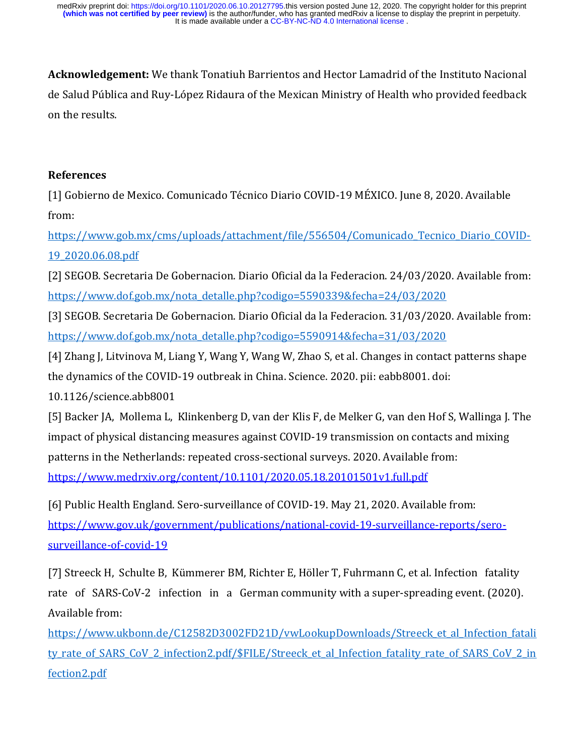**Acknowledgement:** We thank Tonatiuh Barrientos and Hector Lamadrid of the Instituto Nacional de Salud Pública and Ruy-López Ridaura of the Mexican Ministry of Health who provided feedback on the results.

# **References**

[1] Gobierno de Mexico. Comunicado Técnico Diario COVID-19 MÉXICO. June 8, 2020. Available from:

[https://www.gob.mx/cms/uploads/attachment/file/556504/Comunicado\\_Tecnico\\_Diario\\_COVID-](https://www.gob.mx/cms/uploads/attachment/file/556504/Comunicado_Tecnico_Diario_COVID-19_2020.06.08.pdf)[19\\_2020.06.08.pdf](https://www.gob.mx/cms/uploads/attachment/file/556504/Comunicado_Tecnico_Diario_COVID-19_2020.06.08.pdf)

[2] SEGOB. Secretaria De Gobernacion. Diario Oficial da la Federacion. 24/03/2020. Available from: [https://www.dof.gob.mx/nota\\_detalle.php?codigo=5590339&fecha=24/03/2020](https://www.dof.gob.mx/nota_detalle.php?codigo=5590339&fecha=24/03/2020)

[3] SEGOB. Secretaria De Gobernacion. Diario Oficial da la Federacion. 31/03/2020. Available from: [https://www.dof.gob.mx/nota\\_detalle.php?codigo=5590914&fecha=31/03/2020](https://www.dof.gob.mx/nota_detalle.php?codigo=5590914&fecha=31/03/2020)

[4] Zhang J, Litvinova M, Liang Y, Wang Y, Wang W, Zhao S, et al. Changes in contact patterns shape the dynamics of the COVID-19 outbreak in China. Science. 2020. pii: eabb8001. doi:

10.1126/science.abb8001

[5] Backer JA, Mollema L, Klinkenberg D, van der Klis F, de Melker G, van den Hof S, Wallinga J. The impact of physical distancing measures against COVID-19 transmission on contacts and mixing patterns in the Netherlands: repeated cross-sectional surveys. 2020. Available from: <https://www.medrxiv.org/content/10.1101/2020.05.18.20101501v1.full.pdf>

[6] Public Health England. Sero-surveillance of COVID-19. May 21, 2020. Available from: [https://www.gov.uk/government/publications/national-covid-19-surveillance-reports/sero](https://www.gov.uk/government/publications/national-covid-19-surveillance-reports/sero-surveillance-of-covid-19)[surveillance-of-covid-19](https://www.gov.uk/government/publications/national-covid-19-surveillance-reports/sero-surveillance-of-covid-19)

[7] Streeck H, Schulte B, Kümmerer BM, Richter E, Höller T, Fuhrmann C, et al. Infection fatality rate of SARS-CoV-2 infection in a German community with a super-spreading event. (2020). Available from:

https://www.ukbonn.de/C12582D3002FD21D/vwLookupDownloads/Streeck et al Infection fatali ty rate of SARS CoV 2 infection2.pdf/\$FILE/Streeck et al Infection fatality rate of SARS CoV 2 in [fection2.pdf](https://www.ukbonn.de/C12582D3002FD21D/vwLookupDownloads/Streeck_et_al_Infection_fatality_rate_of_SARS_CoV_2_infection2.pdf/$FILE/Streeck_et_al_Infection_fatality_rate_of_SARS_CoV_2_infection2.pdf)